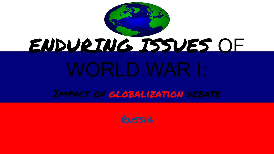

Impact of globalization debate

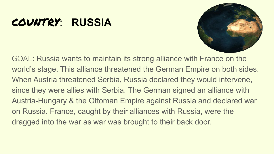## COUNTRY: **RUSSIA**



GOAL: Russia wants to maintain its strong alliance with France on the world's stage. This alliance threatened the German Empire on both sides. When Austria threatened Serbia, Russia declared they would intervene, since they were allies with Serbia. The German signed an alliance with Austria-Hungary & the Ottoman Empire against Russia and declared war on Russia. France, caught by their alliances with Russia, were the dragged into the war as war was brought to their back door.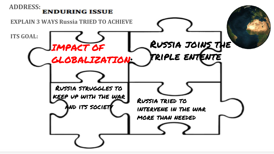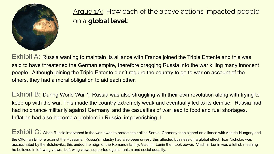

Argue 1A: How each of the above actions impacted people on a **global level**:

Exhibit A: Russia wanting to maintain its alliance with France joined the Triple Entente and this was said to have threatened the German empire, therefore dragging Russia into the war killing many innocent people. Although joining the Triple Entente didn't require the country to go to war on account of the others, they had a moral obligation to aid each other.

Exhibit B: During World War 1, Russia was also struggling with their own revolution along with trying to keep up with the war. This made the country extremely weak and eventually led to its demise. Russia had had no chance militarily against Germany, and the casualties of war lead to food and fuel shortages. Inflation had also become a problem in Russia, impoverishing it.

Exhibit C: When Russia intervened in the war it was to protect their allies Serbia. Germany then signed an alliance with Austria-Hungary and the Ottoman Empire against the Russians. Russia's industry had also been unrest, this affected business on a global effect, Tsar Nicholas was assassinated by the Bolsheviks, this ended the reign of the Romanov family, Vladimir Lenin then took power. Vladimir Lenin was a leftist, meaning he believed in left-wing views. Left-wing views supported egalitarianism and social equality.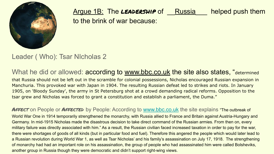

Argue 1B: The **LEADERSHIP** of Russia helped push them to the brink of war because:

Leader ( Who): Tsar NIcholas 2

What he did or allowed: according to [www.bbc.co.uk](http://www.bbc.co.uk) the site also states, "determined that Russia should not be left out in the scramble for colonial possessions, Nicholas encouraged Russian expansion in Manchuria. This provoked war with Japan in 1904. The resulting Russian defeat led to strikes and riots. In January 1905, on 'Bloody Sunday', the army in St Petersburg shot at a crowd demanding radical reforms. Opposition to the tsar grew and Nicholas was forced to grant a constitution and establish a parliament, the Duma."

AFFECT on People or AFFECTED by People: According to [www.bbc.co.uk](http://www.bbc.co.uk) the site explains "The outbreak of World War One in 1914 temporarily strengthened the monarchy, with Russia allied to France and Britain against Austria-Hungary and Germany. In mid-1915 Nicholas made the disastrous decision to take direct command of the Russian armies. From then on, every military failure was directly associated with him." As a result, the Russian civilian faced increased taxation in order to pay for the war, there were shortages of goods of all kinds (but in particular food and fuel). Therefore this angered the people which would later lead to a Russian revolution during World War 1, as well as Tsar Nicholas' and his family's assassination on July 17, 1918. The strengthening of monarchy had had an important role on his assassination, the group of people who had assassinated him were called Bolsheviks, another group in Russia though they were democratic and didn't support right-wing views.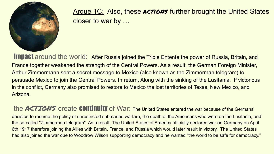

Argue 1C: Also, these ACTIONS further brought the United States closer to war by …

Impact around the world: After Russia joined the Triple Entente the power of Russia, Britain, and France together weakened the strength of the Central Powers. As a result, the German Foreign Minister, Arthur Zimmermann sent a secret message to Mexico (also known as the Zimmerman telegram) to persuade Mexico to join the Central Powers. In return, Along with the sinking of the Lusitania. If victorious in the conflict, Germany also promised to restore to Mexico the lost territories of [Texas,](https://www.history.com/topics/us-states/texas) [New Mexico,](https://www.history.com/topics/us-states/new-mexico) and [Arizona](https://www.history.com/topics/us-states/arizona).

the ACTIONS create **COntinuity** of War: The United States entered the war because of the Germans' decision to resume the policy of unrestricted submarine warfare, the death of the Americans who were on the Lusitania, and the so-called "Zimmerman telegram". As a result, The United States of America officially declared war on Germany on April 6th,1917 therefore joining the Allies with Britain, France, and Russia which would later result in victory. The United States had also joined the war due to Woodrow Wilson supporting democracy and he wanted "the world to be safe for democracy."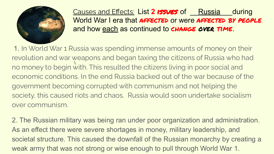

Causes and Effects: List 2 **issues** of **Russia** during World War I era that AFFECTED or were AFFECTED BY PEOPLE and how each as continued to **CHANGE OVER TIME.** 

 \. 1. In World War 1 Russia was spending immense amounts of money on their revolution and war weapons and began taxing the citizens of Russia who had no money to begin with. This resulted the citizens living in poor social and economic conditions. In the end Russia backed out of the war because of the government becoming corrupted with communism and not helping the society, this caused riots and chaos. Russia would soon undertake socialism over communism.

2. The Russian military was being ran under poor organization and administration. As an effect there were severe shortages in money, military leadership, and societal structure. This caused the downfall of the Russian monarchy by creating a weak army that was not strong or wise enough to pull through World War 1.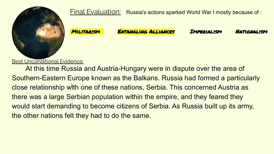

Final Evaluation: Russia's actions sparked World War I mostly because of :

Militarism Entangling Alliances Imperialism Nationalism

**Best Unconditional Evidence:** 

close relationship with one of these nations, Serbia. This concerned Austria as At this time Russia and Austria-Hungary were in dispute over the area of Southern-Eastern Europe known as the Balkans. Russia had formed a particularly there was a large Serbian population within the empire, and they feared they would start demanding to become citizens of Serbia. As Russia built up its army, the other nations felt they had to do the same.